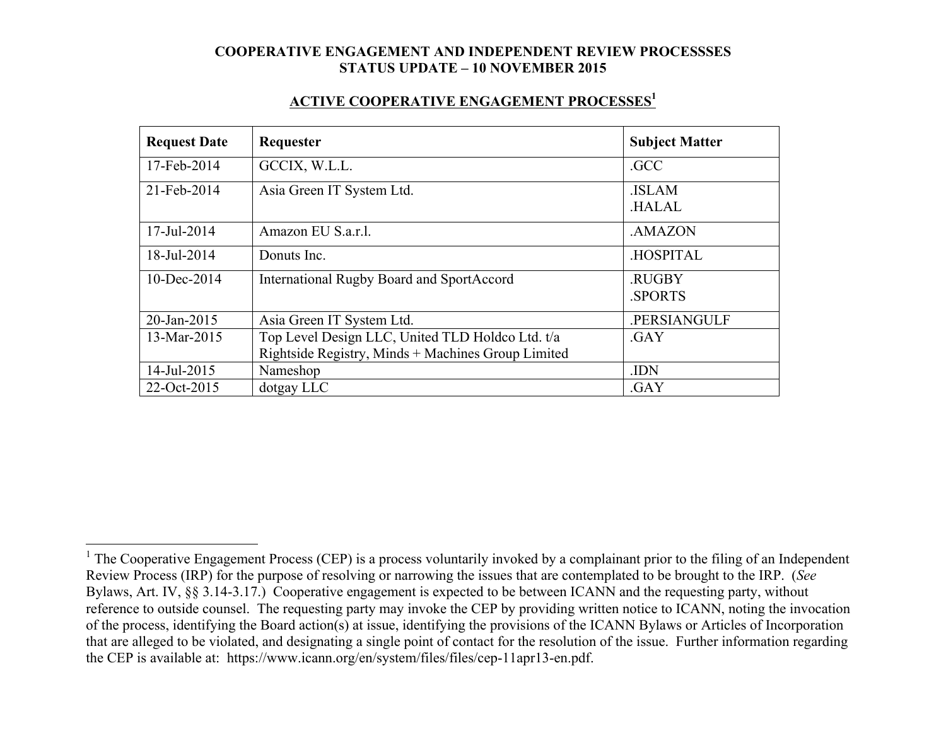#### **ACTIVE COOPERATIVE ENGAGEMENT PROCESSES1**

| <b>Request Date</b> | Requester                                                                                              | <b>Subject Matter</b>        |
|---------------------|--------------------------------------------------------------------------------------------------------|------------------------------|
| 17-Feb-2014         | GCCIX, W.L.L.                                                                                          | .GCC                         |
| 21-Feb-2014         | Asia Green IT System Ltd.                                                                              | <b>ISLAM</b><br><b>HALAL</b> |
| 17-Jul-2014         | Amazon EU S.a.r.l.                                                                                     | .AMAZON                      |
| 18-Jul-2014         | Donuts Inc.                                                                                            | <b>HOSPITAL</b>              |
| $10$ -Dec-2014      | <b>International Rugby Board and SportAccord</b>                                                       | .RUGBY<br><b>SPORTS</b>      |
| 20-Jan-2015         | Asia Green IT System Ltd.                                                                              | .PERSIANGULF                 |
| 13-Mar-2015         | Top Level Design LLC, United TLD Holdco Ltd. t/a<br>Rightside Registry, Minds + Machines Group Limited | .GAY                         |
| 14-Jul-2015         | Nameshop                                                                                               | .IDN                         |
| 22-Oct-2015         | dotgay LLC                                                                                             | .GAY                         |

<sup>&</sup>lt;sup>1</sup> The Cooperative Engagement Process (CEP) is a process voluntarily invoked by a complainant prior to the filing of an Independent Review Process (IRP) for the purpose of resolving or narrowing the issues that are contemplated to be brought to the IRP. (*See* Bylaws, Art. IV, §§ 3.14-3.17.) Cooperative engagement is expected to be between ICANN and the requesting party, without reference to outside counsel. The requesting party may invoke the CEP by providing written notice to ICANN, noting the invocation of the process, identifying the Board action(s) at issue, identifying the provisions of the ICANN Bylaws or Articles of Incorporation that are alleged to be violated, and designating a single point of contact for the resolution of the issue. Further information regarding the CEP is available at: https://www.icann.org/en/system/files/files/cep-11apr13-en.pdf.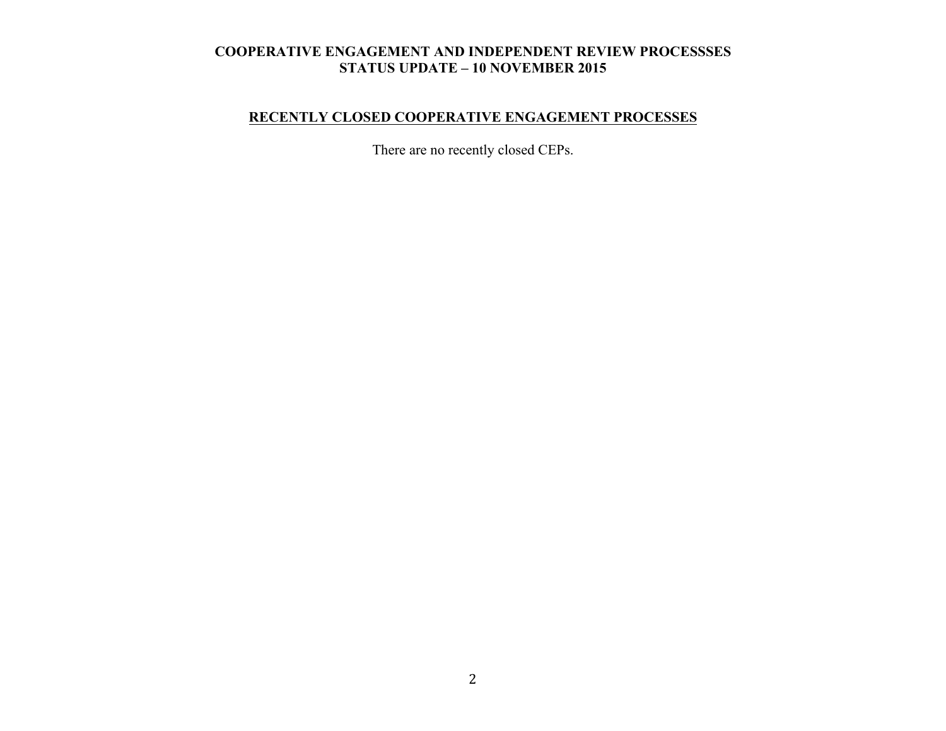# **RECENTLY CLOSED COOPERATIVE ENGAGEMENT PROCESSES**

There are no recently closed CEPs.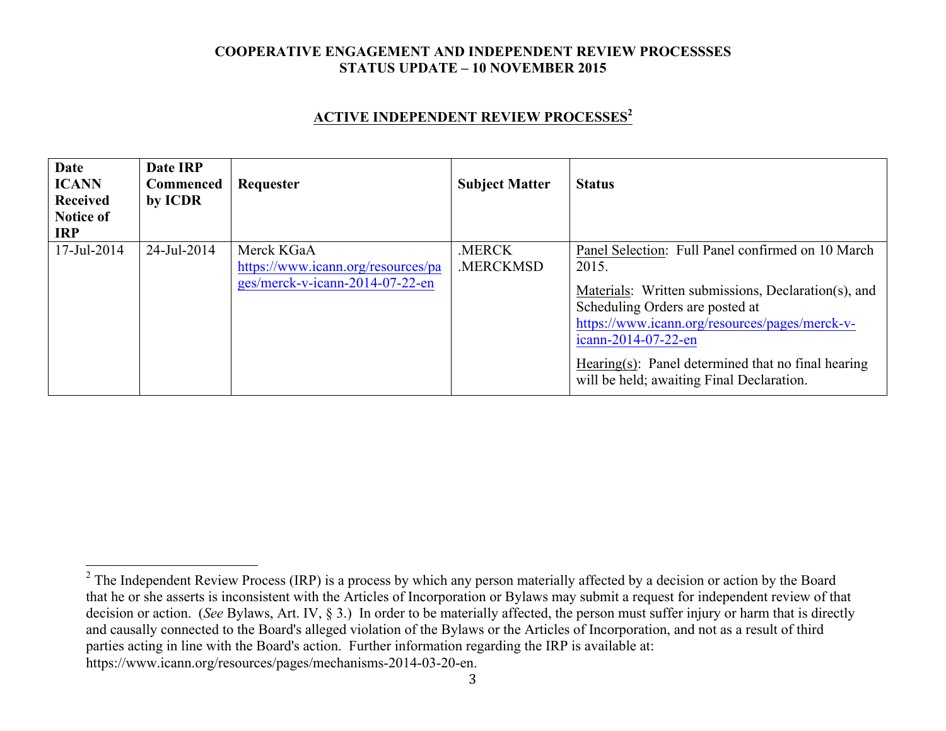### **ACTIVE INDEPENDENT REVIEW PROCESSES<sup>2</sup>**

| <b>Date</b><br><b>ICANN</b><br>Received<br>Notice of<br><b>IRP</b> | Date IRP<br><b>Commenced</b><br>by ICDR | Requester                                                                           | <b>Subject Matter</b>           | <b>Status</b>                                                                                                                                                                                                                                                                                                                    |
|--------------------------------------------------------------------|-----------------------------------------|-------------------------------------------------------------------------------------|---------------------------------|----------------------------------------------------------------------------------------------------------------------------------------------------------------------------------------------------------------------------------------------------------------------------------------------------------------------------------|
| 17-Jul-2014                                                        | 24-Jul-2014                             | Merck KGaA<br>https://www.icann.org/resources/pa<br>ges/merck-v-icann-2014-07-22-en | <b>MERCK</b><br><b>MERCKMSD</b> | Panel Selection: Full Panel confirmed on 10 March<br>2015.<br>Materials: Written submissions, Declaration(s), and<br>Scheduling Orders are posted at<br>https://www.icann.org/resources/pages/merck-v-<br>icann-2014-07-22-en<br>Hearing(s): Panel determined that no final hearing<br>will be held; awaiting Final Declaration. |

 $2$  The Independent Review Process (IRP) is a process by which any person materially affected by a decision or action by the Board that he or she asserts is inconsistent with the Articles of Incorporation or Bylaws may submit a request for independent review of that decision or action. (*See* Bylaws, Art. IV, § 3.) In order to be materially affected, the person must suffer injury or harm that is directly and causally connected to the Board's alleged violation of the Bylaws or the Articles of Incorporation, and not as a result of third parties acting in line with the Board's action. Further information regarding the IRP is available at: https://www.icann.org/resources/pages/mechanisms-2014-03-20-en.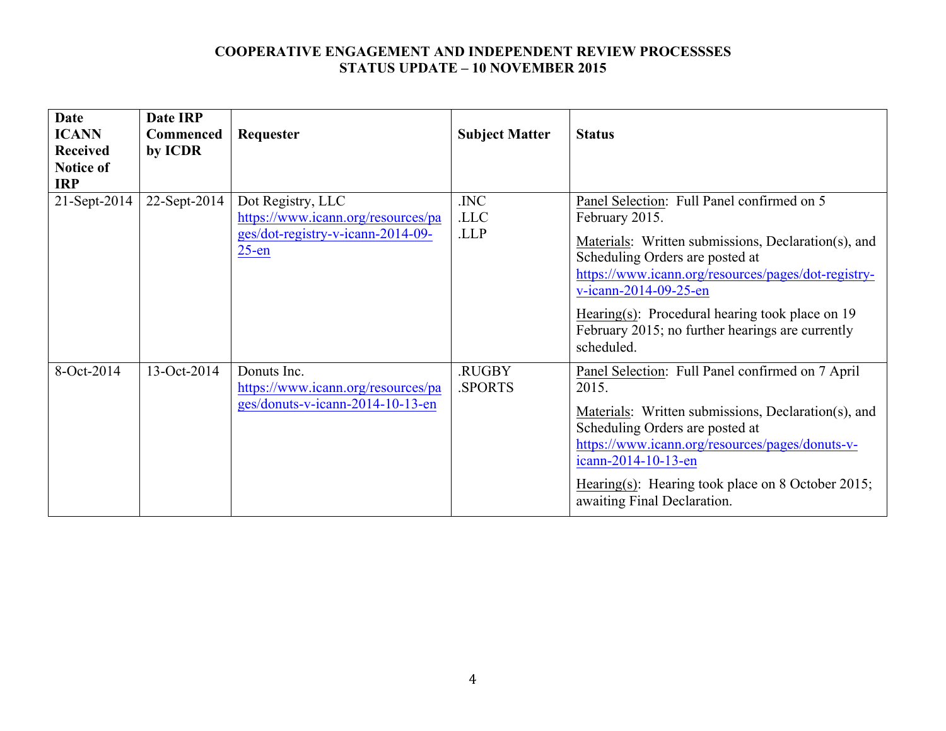| <b>Date</b><br><b>ICANN</b>                       | Date IRP<br><b>Commenced</b> | Requester                                                                                                | <b>Subject Matter</b>   | <b>Status</b>                                                                                                                                                                                                                                                                                                                                               |
|---------------------------------------------------|------------------------------|----------------------------------------------------------------------------------------------------------|-------------------------|-------------------------------------------------------------------------------------------------------------------------------------------------------------------------------------------------------------------------------------------------------------------------------------------------------------------------------------------------------------|
| <b>Received</b><br><b>Notice of</b><br><b>IRP</b> | by ICDR                      |                                                                                                          |                         |                                                                                                                                                                                                                                                                                                                                                             |
| 21-Sept-2014                                      | 22-Sept-2014                 | Dot Registry, LLC<br>https://www.icann.org/resources/pa<br>ges/dot-registry-v-icann-2014-09-<br>$25$ -en | .INC<br>.LLC<br>.LLP    | Panel Selection: Full Panel confirmed on 5<br>February 2015.<br>Materials: Written submissions, Declaration(s), and<br>Scheduling Orders are posted at<br>https://www.icann.org/resources/pages/dot-registry-<br>v-icann-2014-09-25-en<br>Hearing(s): Procedural hearing took place on 19<br>February 2015; no further hearings are currently<br>scheduled. |
| 8-Oct-2014                                        | 13-Oct-2014                  | Donuts Inc.<br>https://www.icann.org/resources/pa<br>ges/donuts-v-icann-2014-10-13-en                    | <b>RUGBY</b><br>.SPORTS | Panel Selection: Full Panel confirmed on 7 April<br>2015.<br>Materials: Written submissions, Declaration(s), and<br>Scheduling Orders are posted at<br>https://www.icann.org/resources/pages/donuts-v-<br>icann-2014-10-13-en<br>Hearing(s): Hearing took place on 8 October 2015;<br>awaiting Final Declaration.                                           |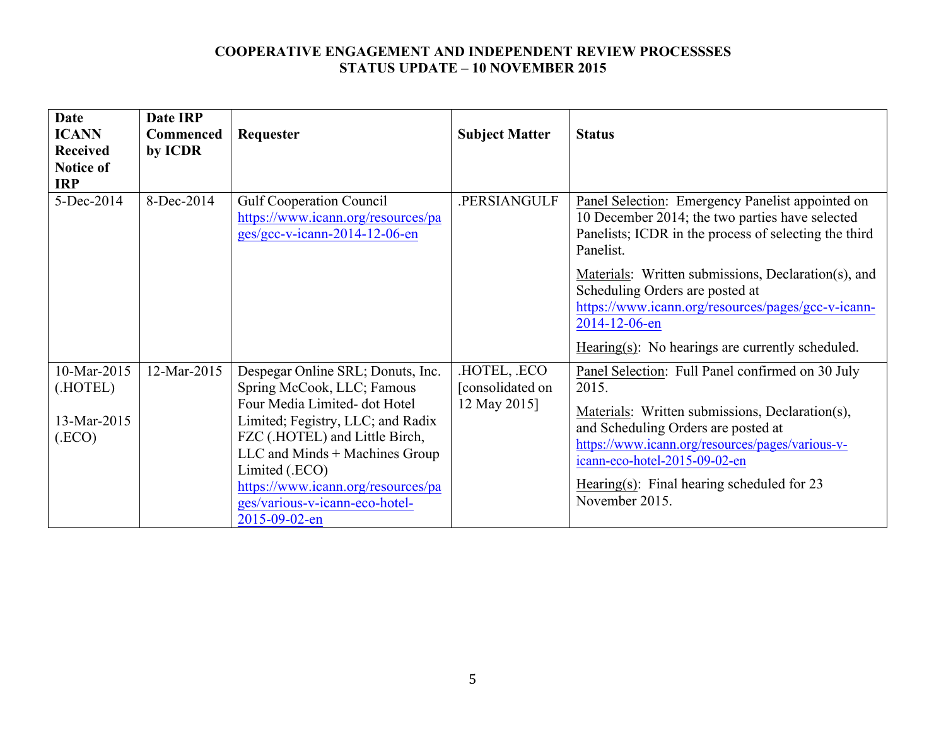| <b>Date</b><br><b>ICANN</b><br><b>Received</b><br><b>Notice of</b><br><b>IRP</b> | Date IRP<br>Commenced<br>by ICDR | Requester                                                                                                                                                                   | <b>Subject Matter</b>                          | <b>Status</b>                                                                                                                                                                                                     |
|----------------------------------------------------------------------------------|----------------------------------|-----------------------------------------------------------------------------------------------------------------------------------------------------------------------------|------------------------------------------------|-------------------------------------------------------------------------------------------------------------------------------------------------------------------------------------------------------------------|
| 5-Dec-2014                                                                       | 8-Dec-2014                       | <b>Gulf Cooperation Council</b><br>https://www.icann.org/resources/pa<br>$ges/gcc-v-icann-2014-12-06-en$                                                                    | PERSIANGULF                                    | Panel Selection: Emergency Panelist appointed on<br>10 December 2014; the two parties have selected<br>Panelists; ICDR in the process of selecting the third<br>Panelist.                                         |
|                                                                                  |                                  |                                                                                                                                                                             |                                                | Materials: Written submissions, Declaration(s), and<br>Scheduling Orders are posted at<br>https://www.icann.org/resources/pages/gcc-v-icann-<br>2014-12-06-en<br>Hearing(s): No hearings are currently scheduled. |
| 10-Mar-2015<br>(HOTEL)<br>13-Mar-2015                                            | 12-Mar-2015                      | Despegar Online SRL; Donuts, Inc.<br>Spring McCook, LLC; Famous<br>Four Media Limited-dot Hotel<br>Limited; Fegistry, LLC; and Radix                                        | HOTEL, ECO<br>[consolidated on<br>12 May 2015] | Panel Selection: Full Panel confirmed on 30 July<br>2015.<br>Materials: Written submissions, Declaration(s),<br>and Scheduling Orders are posted at                                                               |
| (ECO)                                                                            |                                  | FZC (.HOTEL) and Little Birch,<br>LLC and Minds + Machines Group<br>Limited (.ECO)<br>https://www.icann.org/resources/pa<br>ges/various-v-icann-eco-hotel-<br>2015-09-02-en |                                                | https://www.icann.org/resources/pages/various-v-<br>icann-eco-hotel-2015-09-02-en<br>Hearing(s): Final hearing scheduled for $23$<br>November 2015.                                                               |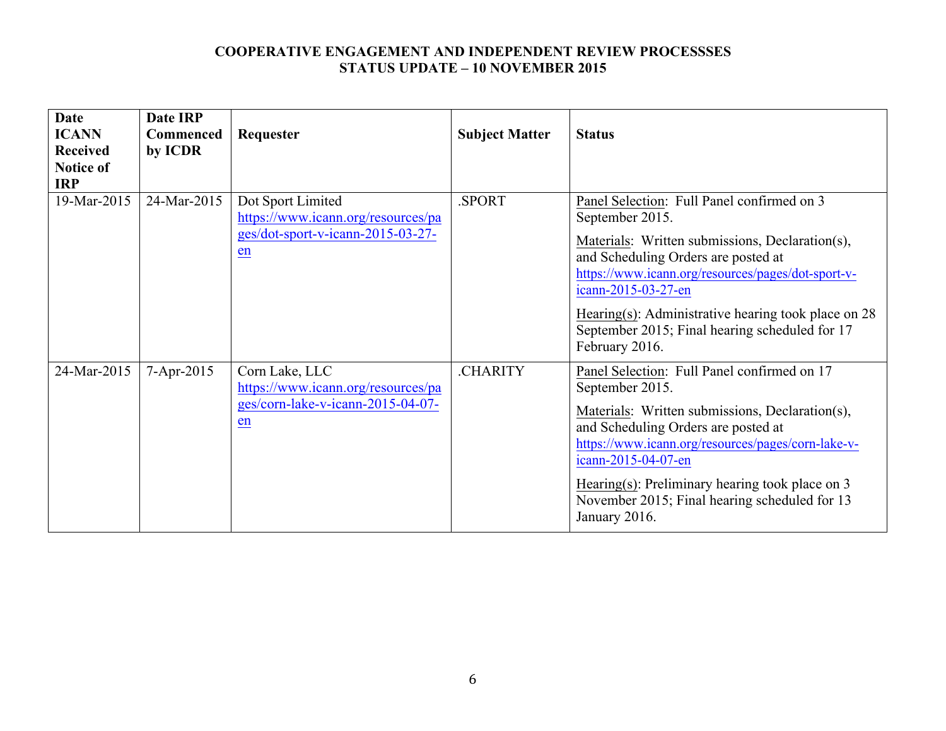| <b>Date</b><br><b>ICANN</b><br><b>Received</b><br><b>Notice of</b><br><b>IRP</b> | Date IRP<br><b>Commenced</b><br>by ICDR | Requester                                                                                          | <b>Subject Matter</b> | <b>Status</b>                                                                                                                                                                                                                                                                                                                                                     |
|----------------------------------------------------------------------------------|-----------------------------------------|----------------------------------------------------------------------------------------------------|-----------------------|-------------------------------------------------------------------------------------------------------------------------------------------------------------------------------------------------------------------------------------------------------------------------------------------------------------------------------------------------------------------|
| 19-Mar-2015                                                                      | 24-Mar-2015                             | Dot Sport Limited<br>https://www.icann.org/resources/pa<br>ges/dot-sport-v-icann-2015-03-27-<br>en | SPORT.                | Panel Selection: Full Panel confirmed on 3<br>September 2015.<br>Materials: Written submissions, Declaration(s),<br>and Scheduling Orders are posted at<br>https://www.icann.org/resources/pages/dot-sport-v-<br>icann-2015-03-27-en<br>Hearing(s): Administrative hearing took place on $28$<br>September 2015; Final hearing scheduled for 17<br>February 2016. |
| 24-Mar-2015                                                                      | 7-Apr-2015                              | Corn Lake, LLC<br>https://www.icann.org/resources/pa<br>ges/corn-lake-v-icann-2015-04-07-<br>en    | <b>CHARITY</b>        | Panel Selection: Full Panel confirmed on 17<br>September 2015.<br>Materials: Written submissions, Declaration(s),<br>and Scheduling Orders are posted at<br>https://www.icann.org/resources/pages/corn-lake-v-<br>icann-2015-04-07-en<br>Hearing(s): Preliminary hearing took place on $3$<br>November 2015; Final hearing scheduled for 13<br>January 2016.      |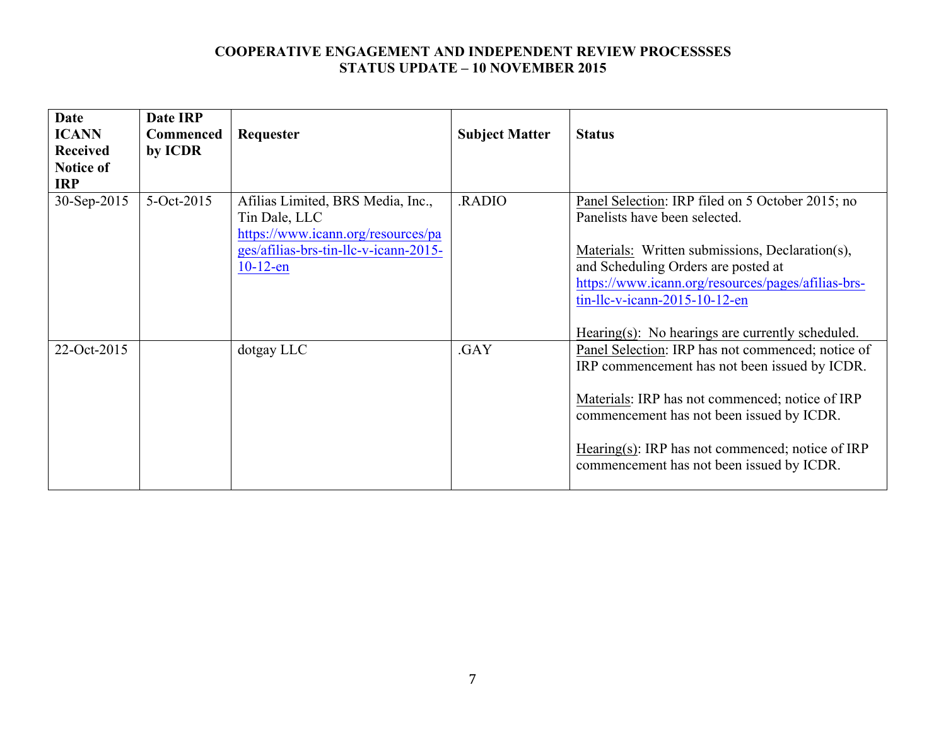| <b>Date</b><br><b>ICANN</b><br><b>Received</b><br><b>Notice of</b><br><b>IRP</b> | Date IRP<br><b>Commenced</b><br>by ICDR | Requester                                                                                                                                        | <b>Subject Matter</b> | <b>Status</b>                                                                                                                                                                                                                                                                                                             |
|----------------------------------------------------------------------------------|-----------------------------------------|--------------------------------------------------------------------------------------------------------------------------------------------------|-----------------------|---------------------------------------------------------------------------------------------------------------------------------------------------------------------------------------------------------------------------------------------------------------------------------------------------------------------------|
| 30-Sep-2015                                                                      | 5-Oct-2015                              | Afilias Limited, BRS Media, Inc.,<br>Tin Dale, LLC<br>https://www.icann.org/resources/pa<br>ges/afilias-brs-tin-llc-v-icann-2015-<br>$10-12$ -en | RADIO                 | Panel Selection: IRP filed on 5 October 2015; no<br>Panelists have been selected.<br>Materials: Written submissions, Declaration(s),<br>and Scheduling Orders are posted at<br>https://www.icann.org/resources/pages/afilias-brs-<br>tin-llc-v-icann-2015-10-12-en<br>$Hearing(s)$ : No hearings are currently scheduled. |
| 22-Oct-2015                                                                      |                                         | dotgay LLC                                                                                                                                       | .GAY                  | Panel Selection: IRP has not commenced; notice of<br>IRP commencement has not been issued by ICDR.<br>Materials: IRP has not commenced; notice of IRP<br>commencement has not been issued by ICDR.<br>Hearing(s): IRP has not commenced; notice of IRP<br>commencement has not been issued by ICDR.                       |